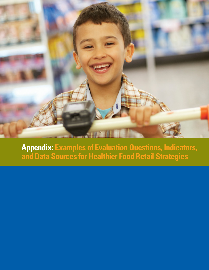

**Appendix: Examples of Evaluation Questions, Indicators, and Data Sources for Healthier Food Retail Strategies**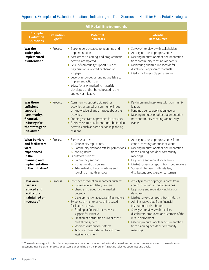|                                                                                                                                   |                                          | <b>All Retail Environments</b>                                                                                                                                                                                                                                                                                                                                                                                                                                                           |                                                                                                                                                                                                                                                                                                                                                                                                                                                               |
|-----------------------------------------------------------------------------------------------------------------------------------|------------------------------------------|------------------------------------------------------------------------------------------------------------------------------------------------------------------------------------------------------------------------------------------------------------------------------------------------------------------------------------------------------------------------------------------------------------------------------------------------------------------------------------------|---------------------------------------------------------------------------------------------------------------------------------------------------------------------------------------------------------------------------------------------------------------------------------------------------------------------------------------------------------------------------------------------------------------------------------------------------------------|
| <b>Example</b><br><b>Evaluation</b><br><b>Questions</b>                                                                           | <b>Evaluation</b><br>Type <sup>+++</sup> | <b>Potential</b><br><b>Indicators</b>                                                                                                                                                                                                                                                                                                                                                                                                                                                    | <b>Potential</b><br><b>Data Sources</b>                                                                                                                                                                                                                                                                                                                                                                                                                       |
| <b>Was the</b><br>action plan<br>implemented<br>as intended?                                                                      | ▶ Process                                | > Stakeholders engaged for planning and<br>implementation<br>Assessment, planning, and programmatic<br>activities completed<br>Level of community support, such as<br>organizations involved or champions<br>engaged<br>Level of resources or funding available to<br>implement action plan<br>Educational or marketing materials<br>developed or distributed related to the<br>strategy or initiative                                                                                   | Surveys/interviews with stakeholders<br>Activity records or progress notes<br>• Meeting minutes or other documentation<br>from community meetings or events<br>Monitoring and tracking records for<br>distribution of program materials<br>Media tracking or clipping service                                                                                                                                                                                 |
| <b>Was there</b><br>sufficient<br>support<br>(community,<br>financial,<br>industry) for<br>the strategy or<br>initiative?         | Process                                  | Community support obtained for<br>activities, assessed by community input<br>on knowledge of and attitudes about the<br>activities<br>Funding received or provided for activities<br>> Business sector/retailer support obtained for<br>activities, such as participation in planning<br>sessions                                                                                                                                                                                        | ▶ Key informant interviews with community<br>leaders<br>Funding agency application records<br>Meeting minutes or other documentation<br>from community meetings or industry<br>events                                                                                                                                                                                                                                                                         |
| <b>What barriers</b><br>and facilitators<br>were<br>experienced<br>in the<br>planning and<br>implementation<br>of the initiative? | ▶ Process                                | Barriers, such as:<br>» State or city regulations<br>» Community and food retailer perceptions<br>» Zoning issues<br>Facilitators, such as:<br>» Community support<br>» Programmatic guidelines<br>» Adequate distribution systems and<br>sourcing of healthier foods                                                                                                                                                                                                                    | Activity records or progress notes from<br>council meetings or public sessions<br>▶ Meeting minutes or other documentation<br>from planning boards or community<br>meetings<br>Legislative and regulatory archives<br>> Market surveys or reports from food retailers<br>Surveys/interviews with retailers,<br>distributors, producers, or customers                                                                                                          |
| <b>How were</b><br><b>barriers</b><br>reduced and<br>facilitators<br>maintained or<br>increased?                                  | Process                                  | Evidence of reduction in barriers, such as:<br>» Decrease in regulatory barriers<br>» Change in perceptions of market<br>potential<br>» Development of adequate infrastructure<br>Evidence of maintenance or increased<br>facilitators, such as:<br>» Funding or financial incentives or<br>support for initiative<br>» Creation of distribution hubs or other<br>centralized systems<br>» Modified distribution systems<br>» Access to transportation to and from<br>retail environment | Activity records or progress notes from<br>council meetings or public sessions<br>Legislative and regulatory archives or<br>databases<br>Market surveys or reports from industry<br>Administrative data from financial<br>institutions or distributors<br>Surveys/interviews with retailers,<br>distributors, producers, or customers of the<br>retail environment<br>Meeting minutes or other documentation<br>from planning boards or community<br>meetings |

Appendix: Examples of Evaluation Questions, Indicators, and Data Sources for Healthier Food Retail Strategies

†††The evaluation type in this column represents a common categorization for the questions presented. However, some of the evaluation questions may be either process or outcome depending on the program's specific selected strategies and goals.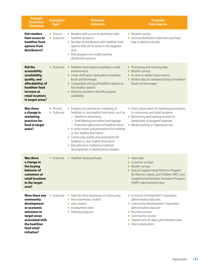| <b>Example</b><br><b>Evaluation</b><br><b>Questions</b>                                                                                                         | <b>Evaluation</b><br>Type <sup>†††</sup>                  | <b>Potential</b><br><b>Indicators</b>                                                                                                                                                                                                                                                                                                                                                                                                                            | <b>Potential</b><br><b>Data Sources</b>                                                                                                                                                                                                 |
|-----------------------------------------------------------------------------------------------------------------------------------------------------------------|-----------------------------------------------------------|------------------------------------------------------------------------------------------------------------------------------------------------------------------------------------------------------------------------------------------------------------------------------------------------------------------------------------------------------------------------------------------------------------------------------------------------------------------|-----------------------------------------------------------------------------------------------------------------------------------------------------------------------------------------------------------------------------------------|
| <b>Did retailers</b><br>have access to<br>healthier food<br>options from<br>distributors?                                                                       | $\blacktriangleright$ Process<br>$\triangleright$ Outcome | Retailers with access to distributor with<br>healthier products<br>I Number of distributors with healthier food<br>options that sell to stores in the targeted<br>area<br>Pilot programs to modify existing<br>distribution systems                                                                                                                                                                                                                              | Retailers survey<br>Archival distribution data from purchase<br>logs or delivery records                                                                                                                                                |
| <b>Did the</b><br>accessibility<br>(availability,<br>quality, and<br>affordability) of<br>healthier food<br>increase at<br>retail locations<br>in target areas? | $\triangleright$ Outcome                                  | Healthier food options available in retail<br>environments<br>Linear shelf space dedicated to healthier<br>foods and beverages<br>Comparable pricing of healthier options to<br>less healthy options<br>Nutrition assistance benefit program<br>availability                                                                                                                                                                                                     | ▶ Purchasing and stocking data<br>Retailer surveys<br>In-store or retailer observations<br>Market data on standard pricing of healthier<br>foods and beverages                                                                          |
| <b>Was there</b><br>a change in<br>marketing<br>practices for<br>food in target<br>areas?                                                                       | ▶ Process<br>• Outcome                                    | Evidence of community marketing of<br>healthier vs. less healthy food items, such as:<br>» Storefront advertising<br>» Shelf labeling and other food signage<br>» Prominent placement of healthier items<br>In-store events and promotions for healthier<br>vs. less healthy food items<br>Community events and promotions for<br>healthier vs. less healthy food items<br>Educational or marketing materials<br>Þ.<br>developed for or distributed to retailers | Direct observation of marketing promotions<br>in community and retail locations<br>Monitoring and tracking records for<br>distribution of program materials<br>Media tracking or clipping service                                       |
| <b>Was there</b><br>a change in<br>the buying<br>behavior of<br>customers at<br>retail locations<br>in the target<br>area?                                      | $\triangleright$ Outcome                                  | Healthier food purchases                                                                                                                                                                                                                                                                                                                                                                                                                                         | $\triangleright$ Sales data<br>Customer surveys<br>Retailer surveys<br>Special Supplemental Nutrition Program<br>for Women, Infants, and Children (WIC) and<br>Supplemental Nutrition Assistance Program<br>(SNAP) administrative data  |
| Were there any<br>community<br>development<br>or economic<br>outcomes in<br>target areas<br>associated with<br>the healthier<br>food retail<br>initiative?      | • Outcome                                                 | Sales for other businesses in community<br>$\blacktriangleright$ New businesses created<br>$\blacktriangleright$ Jobs created<br>Employment rates<br>▶<br>Training programs<br>Þ.                                                                                                                                                                                                                                                                                | Economic Development Corporation<br>administrative data sets<br>Community Development Corporation<br>administrative data sets<br>Business surveys<br>Community surveys<br>Department of Labor administrative data<br>Direct observation |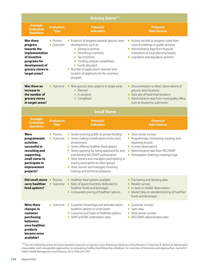|                                                                                                                                                       |                                  | <b>Grocery Stores</b> ###                                                                                                                                                                                                                                                                                                                                                                                    |                                                                                                                                                                                                        |
|-------------------------------------------------------------------------------------------------------------------------------------------------------|----------------------------------|--------------------------------------------------------------------------------------------------------------------------------------------------------------------------------------------------------------------------------------------------------------------------------------------------------------------------------------------------------------------------------------------------------------|--------------------------------------------------------------------------------------------------------------------------------------------------------------------------------------------------------|
| <b>Example</b><br><b>Evaluation</b><br><b>Questions</b>                                                                                               | <b>Evaluation</b><br><b>Type</b> | <b>Potential</b><br><b>Indicators</b>                                                                                                                                                                                                                                                                                                                                                                        | <b>Potential</b><br><b>Data Sources</b>                                                                                                                                                                |
| <b>Was there</b><br>progress<br>towards the<br>implementation<br>of incentive<br>programs for<br>development of<br>grocery stores in<br>target areas? | ▶ Process<br>• Outcome           | Evidence of progress towards grocery store<br>development, such as<br>> Zoning incentives<br>Permitting incentives<br>Tax incentives<br>Funding program established<br>Funds allocated<br>Number of applications received and<br>location of applicants for the incentive<br>program                                                                                                                         | Activity records or progress notes from<br>council meetings or public sessions<br>Administrative data from financial<br>institutions or local planning boards<br>▶ Legislative and regulatory archives |
| Was there an<br>increase in<br>the number of<br>grocery stores<br>in target areas?                                                                    | $\triangleright$ Outcome         | New grocery store projects in target areas<br>• Planned<br>$\blacktriangleright$ In progress<br>Completed                                                                                                                                                                                                                                                                                                    | ▶ Documentation or direct observations of<br>grocery store locations<br>• Data sets of food retail locations<br>Administrative data from municipality office,<br>such as blueprints submission         |
| <b>Small Stores</b>                                                                                                                                   |                                  |                                                                                                                                                                                                                                                                                                                                                                                                              |                                                                                                                                                                                                        |
| <b>Example</b><br><b>Evaluation</b><br><b>Questions</b>                                                                                               | <b>Evaluation</b><br><b>Type</b> | <b>Potential</b><br><b>Indicators</b>                                                                                                                                                                                                                                                                                                                                                                        | <b>Potential</b><br><b>Data Sources</b>                                                                                                                                                                |
|                                                                                                                                                       |                                  |                                                                                                                                                                                                                                                                                                                                                                                                              |                                                                                                                                                                                                        |
| Were<br>programmatic<br>activities<br>successful in<br>recruiting and<br>supporting<br>small stores to<br>participate in<br>improvement<br>projects?  | ▶ Process<br>• Outcome           | > Stores receiving public or private funding<br>> Stores making modifications to the store<br>environment<br>> Stores offering healthier food options<br>Stores applying for, being approved for, and<br>maintaining WIC/SNAP authorization<br>Store owners and managers participating in<br>buying associations or other groups<br>Store owners and managers receiving<br>training and technical assistance | Store owner surveys<br>Programmatic monitoring, tracking, and<br>reporting records<br>In-store observations<br>Administrative data from WIC/SNAP<br>▶ Participation (training, meetings) logs          |
| Did small stores > Process<br>carry healthier<br>food options?                                                                                        | • Outcome                        | Healthier food options available<br>Ratio of space/inventory dedicated to<br>healthier foods and beverages<br>• Comparable pricing of healthier options                                                                                                                                                                                                                                                      | ▶ Purchasing and stocking data<br>Retailer surveys<br>In-store or retailer observations<br>Market data on standard pricing of healthier<br>foods and beverages                                         |

‡‡‡See the following article for more detailed measures on grocery store financing initiatives: Fleischhacker S, Flournoy R, Moore LV. Meaningful, measurable, and manageable approaches to evaluating healthy food financing initiatives: An overview of resources and approaches. *Journal of Public Health Management and Practice*. 2013;19(6):541-549.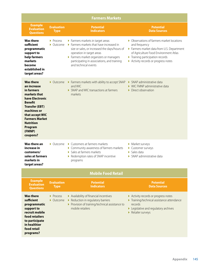|                                                                                                                                                                                                                                             |                                                           | <b>Farmers Markets</b>                                                                                                                                                                                                                                                  |                                                                                                                                                                                                                               |  |
|---------------------------------------------------------------------------------------------------------------------------------------------------------------------------------------------------------------------------------------------|-----------------------------------------------------------|-------------------------------------------------------------------------------------------------------------------------------------------------------------------------------------------------------------------------------------------------------------------------|-------------------------------------------------------------------------------------------------------------------------------------------------------------------------------------------------------------------------------|--|
| <b>Example</b><br><b>Evaluation</b><br><b>Questions</b>                                                                                                                                                                                     | <b>Evaluation</b><br><b>Type</b>                          | <b>Potential</b><br><b>Indicators</b>                                                                                                                                                                                                                                   | <b>Potential</b><br><b>Data Sources</b>                                                                                                                                                                                       |  |
| <b>Was there</b><br>sufficient<br>programmatic<br>support to<br>help farmers<br>markets<br>become<br>established in<br>target areas?                                                                                                        | ▶ Process<br>$\triangleright$ Outcome                     | Farmers markets in target areas<br>Farmers markets that have increased in<br>size or sales, or increased the days/hours of<br>operation in target areas<br>Farmers market organizers or managers<br>participating in associations, and training<br>and technical events | • Observations of farmers market locations<br>and frequency<br>Farmers market data from U.S. Department<br>of Agriculture Food Environment Atlas<br>Training participation records<br>Activity records or progress notes<br>▶ |  |
| <b>Was there</b><br>an increase<br>in farmers<br>markets that<br>have Electronic<br><b>Benefit</b><br><b>Transfer (EBT)</b><br>machines or<br>that accept WIC<br><b>Farmers Market</b><br><b>Nutrition</b><br>Program<br>(FMNP)<br>coupons? | $\triangleright$ Outcome                                  | Farmers markets with ability to accept SNAP<br>and WIC<br>▶ SNAP and WIC transactions at farmers<br>markets                                                                                                                                                             | ▶ SNAP administrative data<br>WIC FMNP administrative data<br>• Direct observation                                                                                                                                            |  |
| Was there an<br>increase in<br>customers/<br>sales at farmers<br>markets in<br>target areas?                                                                                                                                                | $\triangleright$ Outcome                                  | ▶ Customers at farmers markets<br>▶ Community awareness of farmers markets<br>Sales at farmers markets<br>Þ.<br>Redemption rates of SNAP incentive<br>programs                                                                                                          | • Market surveys<br>Customer surveys<br>Sales data<br>Þ<br>$\triangleright$ SNAP administrative data                                                                                                                          |  |
| <b>Mobile Food Retail</b>                                                                                                                                                                                                                   |                                                           |                                                                                                                                                                                                                                                                         |                                                                                                                                                                                                                               |  |
| <b>Example</b><br><b>Evaluation</b><br><b>Questions</b>                                                                                                                                                                                     | <b>Evaluation</b><br><b>Type</b>                          | <b>Potential</b><br><b>Indicators</b>                                                                                                                                                                                                                                   | <b>Potential</b><br><b>Data Sources</b>                                                                                                                                                                                       |  |
| <b>Was there</b><br>sufficient<br>programmatic<br>support to<br>recruit mobile<br>food retailers<br>to participate<br>in healthier<br>food retail<br>programs?                                                                              | $\blacktriangleright$ Process<br>$\triangleright$ Outcome | Availability of financial incentives<br>Reduction in regulatory barriers<br>▶ Provision of training/technical assistance to<br>mobile retailers                                                                                                                         | Activity records or progress notes<br>Training/technical assistance attendance<br>records<br>Legislative and regulatory archives<br>Retailer surveys<br>N                                                                     |  |